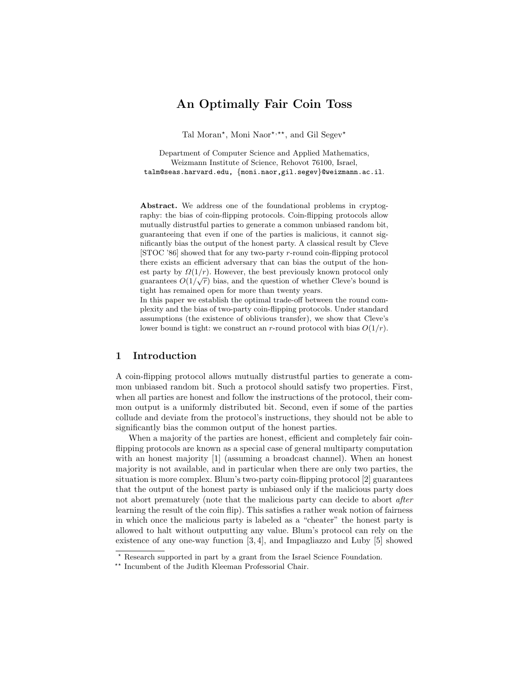# An Optimally Fair Coin Toss

Tal Moran<sup>\*</sup>, Moni Naor<sup>\*,\*\*</sup>, and Gil Segev<sup>\*</sup>

Department of Computer Science and Applied Mathematics, Weizmann Institute of Science, Rehovot 76100, Israel, talm@seas.harvard.edu, {moni.naor,gil.segev}@weizmann.ac.il.

Abstract. We address one of the foundational problems in cryptography: the bias of coin-flipping protocols. Coin-flipping protocols allow mutually distrustful parties to generate a common unbiased random bit, guaranteeing that even if one of the parties is malicious, it cannot significantly bias the output of the honest party. A classical result by Cleve [STOC '86] showed that for any two-party r-round coin-flipping protocol there exists an efficient adversary that can bias the output of the honest party by  $\Omega(1/r)$ . However, the best previously known protocol only guarantees  $O(1/\sqrt{r})$  bias, and the question of whether Cleve's bound is tight has remained open for more than twenty years.

In this paper we establish the optimal trade-off between the round complexity and the bias of two-party coin-flipping protocols. Under standard assumptions (the existence of oblivious transfer), we show that Cleve's lower bound is tight: we construct an r-round protocol with bias  $O(1/r)$ .

## 1 Introduction

A coin-flipping protocol allows mutually distrustful parties to generate a common unbiased random bit. Such a protocol should satisfy two properties. First, when all parties are honest and follow the instructions of the protocol, their common output is a uniformly distributed bit. Second, even if some of the parties collude and deviate from the protocol's instructions, they should not be able to significantly bias the common output of the honest parties.

When a majority of the parties are honest, efficient and completely fair coinflipping protocols are known as a special case of general multiparty computation with an honest majority [1] (assuming a broadcast channel). When an honest majority is not available, and in particular when there are only two parties, the situation is more complex. Blum's two-party coin-flipping protocol [2] guarantees that the output of the honest party is unbiased only if the malicious party does not abort prematurely (note that the malicious party can decide to abort after learning the result of the coin flip). This satisfies a rather weak notion of fairness in which once the malicious party is labeled as a "cheater" the honest party is allowed to halt without outputting any value. Blum's protocol can rely on the existence of any one-way function [3, 4], and Impagliazzo and Luby [5] showed

<sup>?</sup> Research supported in part by a grant from the Israel Science Foundation.

<sup>\*\*</sup> Incumbent of the Judith Kleeman Professorial Chair.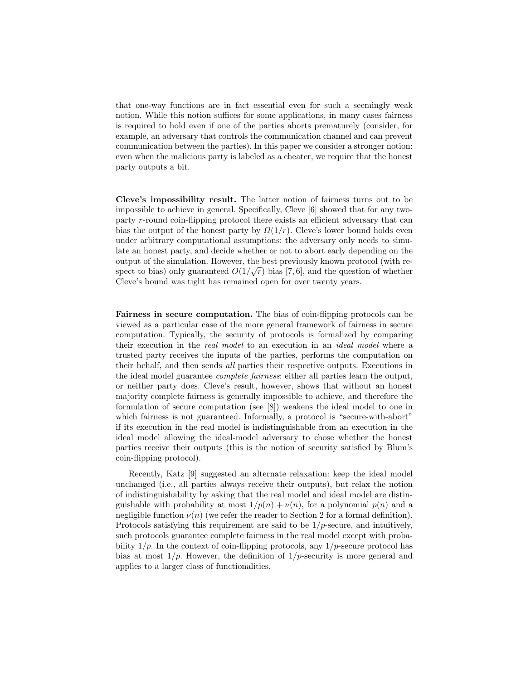that one-way functions are in fact essential even for such a seemingly weak notion. While this notion suffices for some applications, in many cases fairness is required to hold even if one of the parties aborts prematurely (consider, for example, an adversary that controls the communication channel and can prevent communication between the parties). In this paper we consider a stronger notion: even when the malicious party is labeled as a cheater, we require that the honest party outputs a bit.

Cleve's impossibility result. The latter notion of fairness turns out to be impossible to achieve in general. Specifically, Cleve [6] showed that for any twoparty r-round coin-flipping protocol there exists an efficient adversary that can bias the output of the honest party by  $\Omega(1/r)$ . Cleve's lower bound holds even under arbitrary computational assumptions: the adversary only needs to simulate an honest party, and decide whether or not to abort early depending on the output of the simulation. However, the best previously known protocol (with respect to bias) only guaranteed  $O(1/\sqrt{r})$  bias [7,6], and the question of whether Cleve's bound was tight has remained open for over twenty years.

Fairness in secure computation. The bias of coin-flipping protocols can be viewed as a particular case of the more general framework of fairness in secure computation. Typically, the security of protocols is formalized by comparing their execution in the real model to an execution in an ideal model where a trusted party receives the inputs of the parties, performs the computation on their behalf, and then sends all parties their respective outputs. Executions in the ideal model guarantee complete fairness: either all parties learn the output, or neither party does. Cleve's result, however, shows that without an honest majority complete fairness is generally impossible to achieve, and therefore the formulation of secure computation (see [8]) weakens the ideal model to one in which fairness is not guaranteed. Informally, a protocol is "secure-with-abort" if its execution in the real model is indistinguishable from an execution in the ideal model allowing the ideal-model adversary to chose whether the honest parties receive their outputs (this is the notion of security satisfied by Blum's coin-flipping protocol).

Recently, Katz [9] suggested an alternate relaxation: keep the ideal model unchanged (i.e., all parties always receive their outputs), but relax the notion of indistinguishability by asking that the real model and ideal model are distinguishable with probability at most  $1/p(n) + \nu(n)$ , for a polynomial  $p(n)$  and a negligible function  $\nu(n)$  (we refer the reader to Section 2 for a formal definition). Protocols satisfying this requirement are said to be  $1/p$ -secure, and intuitively, such protocols guarantee complete fairness in the real model except with probability  $1/p$ . In the context of coin-flipping protocols, any  $1/p$ -secure protocol has bias at most  $1/p$ . However, the definition of  $1/p$ -security is more general and applies to a larger class of functionalities.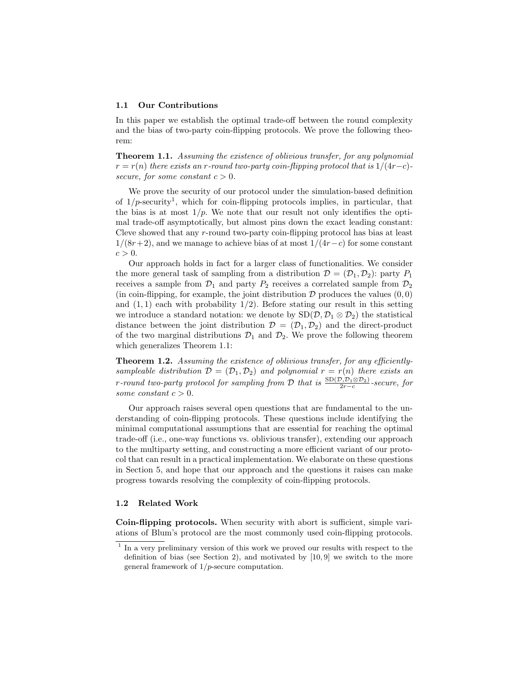#### 1.1 Our Contributions

In this paper we establish the optimal trade-off between the round complexity and the bias of two-party coin-flipping protocols. We prove the following theorem:

Theorem 1.1. Assuming the existence of oblivious transfer, for any polynomial  $r = r(n)$  there exists an r-round two-party coin-flipping protocol that is  $1/(4r-c)$ secure, for some constant  $c > 0$ .

We prove the security of our protocol under the simulation-based definition of  $1/p$ -security<sup>1</sup>, which for coin-flipping protocols implies, in particular, that the bias is at most  $1/p$ . We note that our result not only identifies the optimal trade-off asymptotically, but almost pins down the exact leading constant: Cleve showed that any r-round two-party coin-flipping protocol has bias at least  $1/(8r+2)$ , and we manage to achieve bias of at most  $1/(4r-c)$  for some constant  $c > 0$ .

Our approach holds in fact for a larger class of functionalities. We consider the more general task of sampling from a distribution  $\mathcal{D} = (\mathcal{D}_1, \mathcal{D}_2)$ : party  $P_1$ receives a sample from  $\mathcal{D}_1$  and party  $P_2$  receives a correlated sample from  $\mathcal{D}_2$ (in coin-flipping, for example, the joint distribution  $D$  produces the values  $(0, 0)$ ) and  $(1, 1)$  each with probability  $1/2$ ). Before stating our result in this setting we introduce a standard notation: we denote by  $SD(\mathcal{D}, \mathcal{D}_1 \otimes \mathcal{D}_2)$  the statistical distance between the joint distribution  $\mathcal{D} = (\mathcal{D}_1, \mathcal{D}_2)$  and the direct-product of the two marginal distributions  $\mathcal{D}_1$  and  $\mathcal{D}_2$ . We prove the following theorem which generalizes Theorem 1.1:

Theorem 1.2. Assuming the existence of oblivious transfer, for any efficientlysampleable distribution  $\mathcal{D} = (\mathcal{D}_1, \mathcal{D}_2)$  and polynomial  $r = r(n)$  there exists an r-round two-party protocol for sampling from D that is  $\frac{\text{SD}(\mathcal{D}, \mathcal{D}_1 \otimes \mathcal{D}_2)}{2r-c}$ -secure, for some constant  $c > 0$ .

Our approach raises several open questions that are fundamental to the understanding of coin-flipping protocols. These questions include identifying the minimal computational assumptions that are essential for reaching the optimal trade-off (i.e., one-way functions vs. oblivious transfer), extending our approach to the multiparty setting, and constructing a more efficient variant of our protocol that can result in a practical implementation. We elaborate on these questions in Section 5, and hope that our approach and the questions it raises can make progress towards resolving the complexity of coin-flipping protocols.

### 1.2 Related Work

Coin-flipping protocols. When security with abort is sufficient, simple variations of Blum's protocol are the most commonly used coin-flipping protocols.

<sup>&</sup>lt;sup>1</sup> In a very preliminary version of this work we proved our results with respect to the definition of bias (see Section 2), and motivated by  $[10, 9]$  we switch to the more general framework of  $1/p$ -secure computation.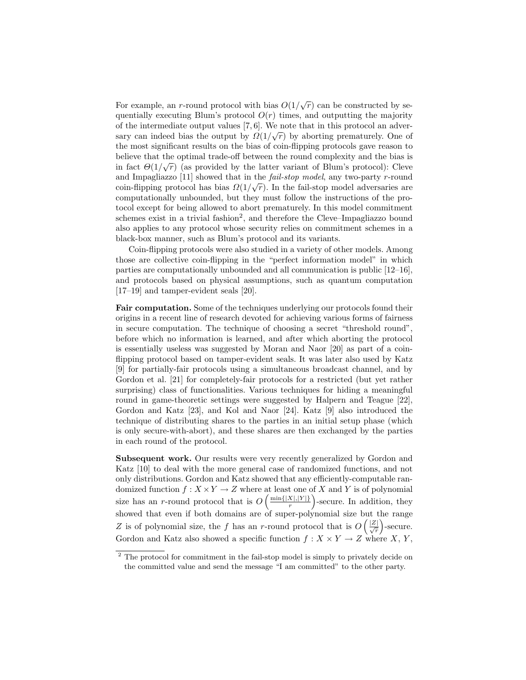For example, an *r*-round protocol with bias  $O(1/\sqrt{r})$  can be constructed by sequentially executing Blum's protocol  $O(r)$  times, and outputting the majority of the intermediate output values [7, 6]. We note that in this protocol an adversary can indeed bias the output by  $\Omega(1/\sqrt{r})$  by aborting prematurely. One of the most significant results on the bias of coin-flipping protocols gave reason to believe that the optimal trade-off between the round complexity and the bias is in fact  $\Theta(1/\sqrt{r})$  (as provided by the latter variant of Blum's protocol): Cleve and Impagliazzo [11] showed that in the *fail-stop model*, any two-party r-round coin-flipping protocol has bias  $\Omega(1/\sqrt{r})$ . In the fail-stop model adversaries are computationally unbounded, but they must follow the instructions of the protocol except for being allowed to abort prematurely. In this model commitment schemes exist in a trivial fashion<sup>2</sup>, and therefore the Cleve–Impagliazzo bound also applies to any protocol whose security relies on commitment schemes in a black-box manner, such as Blum's protocol and its variants.

Coin-flipping protocols were also studied in a variety of other models. Among those are collective coin-flipping in the "perfect information model" in which parties are computationally unbounded and all communication is public [12–16], and protocols based on physical assumptions, such as quantum computation [17–19] and tamper-evident seals [20].

Fair computation. Some of the techniques underlying our protocols found their origins in a recent line of research devoted for achieving various forms of fairness in secure computation. The technique of choosing a secret "threshold round", before which no information is learned, and after which aborting the protocol is essentially useless was suggested by Moran and Naor [20] as part of a coinflipping protocol based on tamper-evident seals. It was later also used by Katz [9] for partially-fair protocols using a simultaneous broadcast channel, and by Gordon et al. [21] for completely-fair protocols for a restricted (but yet rather surprising) class of functionalities. Various techniques for hiding a meaningful round in game-theoretic settings were suggested by Halpern and Teague [22], Gordon and Katz [23], and Kol and Naor [24]. Katz [9] also introduced the technique of distributing shares to the parties in an initial setup phase (which is only secure-with-abort), and these shares are then exchanged by the parties in each round of the protocol.

Subsequent work. Our results were very recently generalized by Gordon and Katz [10] to deal with the more general case of randomized functions, and not only distributions. Gordon and Katz showed that any efficiently-computable randomized function  $f: X \times Y \to Z$  where at least one of X and Y is of polynomial size has an *r*-round protocol that is  $O\left(\frac{\min\{|X|,|Y|\}}{r}\right)$  $\frac{X|,|Y|}{r}$  secure. In addition, they showed that even if both domains are of super-polynomial size but the range Z is of polynomial size, the f has an r-round protocol that is  $O\left(\frac{|Z|}{\sqrt{r}}\right)$ -secure. Gordon and Katz also showed a specific function  $f: X \times Y \to Z$  where X, Y,

<sup>&</sup>lt;sup>2</sup> The protocol for commitment in the fail-stop model is simply to privately decide on the committed value and send the message "I am committed" to the other party.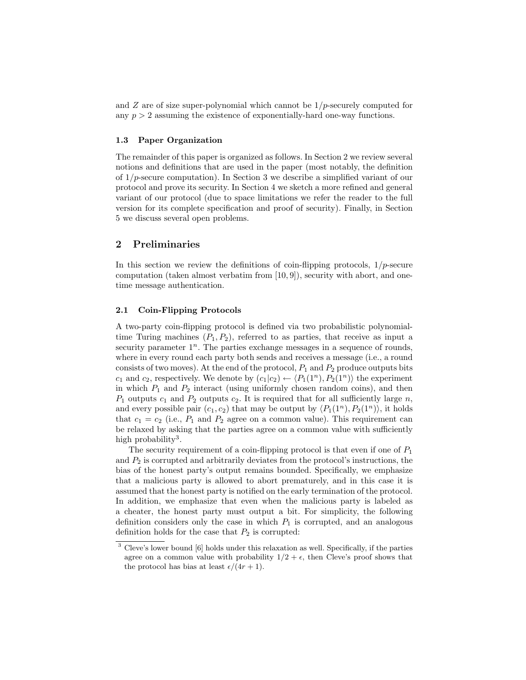and  $Z$  are of size super-polynomial which cannot be  $1/p$ -securely computed for any  $p > 2$  assuming the existence of exponentially-hard one-way functions.

#### 1.3 Paper Organization

The remainder of this paper is organized as follows. In Section 2 we review several notions and definitions that are used in the paper (most notably, the definition of 1/p-secure computation). In Section 3 we describe a simplified variant of our protocol and prove its security. In Section 4 we sketch a more refined and general variant of our protocol (due to space limitations we refer the reader to the full version for its complete specification and proof of security). Finally, in Section 5 we discuss several open problems.

### 2 Preliminaries

In this section we review the definitions of coin-flipping protocols,  $1/p$ -secure computation (taken almost verbatim from  $[10, 9]$ ), security with abort, and onetime message authentication.

#### 2.1 Coin-Flipping Protocols

A two-party coin-flipping protocol is defined via two probabilistic polynomialtime Turing machines  $(P_1, P_2)$ , referred to as parties, that receive as input a security parameter  $1^n$ . The parties exchange messages in a sequence of rounds, where in every round each party both sends and receives a message (i.e., a round consists of two moves). At the end of the protocol,  $P_1$  and  $P_2$  produce outputs bits  $c_1$  and  $c_2$ , respectively. We denote by  $(c_1|c_2) \leftarrow \langle P_1(1^n), P_2(1^n) \rangle$  the experiment in which  $P_1$  and  $P_2$  interact (using uniformly chosen random coins), and then  $P_1$  outputs  $c_1$  and  $P_2$  outputs  $c_2$ . It is required that for all sufficiently large n, and every possible pair  $(c_1, c_2)$  that may be output by  $\langle P_1(1^n), P_2(1^n) \rangle$ , it holds that  $c_1 = c_2$  (i.e.,  $P_1$  and  $P_2$  agree on a common value). This requirement can be relaxed by asking that the parties agree on a common value with sufficiently high probability<sup>3</sup>.

The security requirement of a coin-flipping protocol is that even if one of  $P_1$ and  $P_2$  is corrupted and arbitrarily deviates from the protocol's instructions, the bias of the honest party's output remains bounded. Specifically, we emphasize that a malicious party is allowed to abort prematurely, and in this case it is assumed that the honest party is notified on the early termination of the protocol. In addition, we emphasize that even when the malicious party is labeled as a cheater, the honest party must output a bit. For simplicity, the following definition considers only the case in which  $P_1$  is corrupted, and an analogous definition holds for the case that  $P_2$  is corrupted:

<sup>&</sup>lt;sup>3</sup> Cleve's lower bound [6] holds under this relaxation as well. Specifically, if the parties agree on a common value with probability  $1/2 + \epsilon$ , then Cleve's proof shows that the protocol has bias at least  $\epsilon/(4r+1)$ .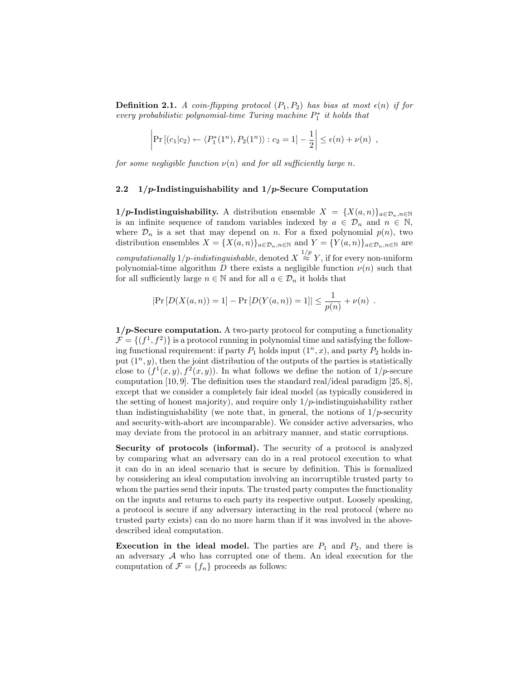**Definition 2.1.** A coin-flipping protocol  $(P_1, P_2)$  has bias at most  $\epsilon(n)$  if for every probabilistic polynomial-time Turing machine  $P_1^*$  it holds that

$$
\left|\Pr\left[(c_1|c_2)\leftarrow \langle P_1^*(1^n), P_2(1^n)\rangle : c_2 = 1\right] - \frac{1}{2}\right| \leq \epsilon(n) + \nu(n) ,
$$

for some negligible function  $\nu(n)$  and for all sufficiently large n.

#### 2.2 1/p-Indistinguishability and  $1/p$ -Secure Computation

1/p-Indistinguishability. A distribution ensemble  $X = \{X(a,n)\}_{a \in \mathcal{D}_n, n \in \mathbb{N}}$ is an infinite sequence of random variables indexed by  $a \in \mathcal{D}_n$  and  $n \in \mathbb{N}$ , where  $\mathcal{D}_n$  is a set that may depend on n. For a fixed polynomial  $p(n)$ , two distribution ensembles  $X = \{X(a,n)\}_{a \in \mathcal{D}_n, n \in \mathbb{N}}$  and  $Y = \{Y(a,n)\}_{a \in \mathcal{D}_n, n \in \mathbb{N}}$  are computationally  $1/p$ -indistinguishable, denoted  $X \stackrel{1/p}{\approx} Y$ , if for every non-uniform polynomial-time algorithm D there exists a negligible function  $\nu(n)$  such that for all sufficiently large  $n \in \mathbb{N}$  and for all  $a \in \mathcal{D}_n$  it holds that

$$
|\Pr[D(X(a, n)) = 1] - \Pr[D(Y(a, n)) = 1]| \leq \frac{1}{p(n)} + \nu(n).
$$

 $1/p$ -Secure computation. A two-party protocol for computing a functionality  $\mathcal{F} = \{(f^1, f^2)\}\$ is a protocol running in polynomial time and satisfying the following functional requirement: if party  $P_1$  holds input  $(1^n, x)$ , and party  $P_2$  holds input  $(1^n, y)$ , then the joint distribution of the outputs of the parties is statistically close to  $(f^1(x, y), f^2(x, y))$ . In what follows we define the notion of  $1/p$ -secure computation [10, 9]. The definition uses the standard real/ideal paradigm [25, 8], except that we consider a completely fair ideal model (as typically considered in the setting of honest majority), and require only  $1/p$ -indistinguishability rather than indistinguishability (we note that, in general, the notions of  $1/p$ -security and security-with-abort are incomparable). We consider active adversaries, who may deviate from the protocol in an arbitrary manner, and static corruptions.

Security of protocols (informal). The security of a protocol is analyzed by comparing what an adversary can do in a real protocol execution to what it can do in an ideal scenario that is secure by definition. This is formalized by considering an ideal computation involving an incorruptible trusted party to whom the parties send their inputs. The trusted party computes the functionality on the inputs and returns to each party its respective output. Loosely speaking, a protocol is secure if any adversary interacting in the real protocol (where no trusted party exists) can do no more harm than if it was involved in the abovedescribed ideal computation.

**Execution in the ideal model.** The parties are  $P_1$  and  $P_2$ , and there is an adversary  $A$  who has corrupted one of them. An ideal execution for the computation of  $\mathcal{F} = \{f_n\}$  proceeds as follows: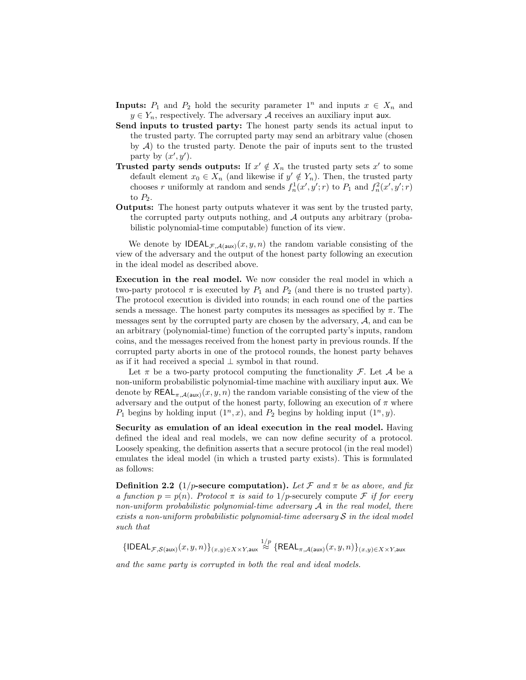- **Inputs:**  $P_1$  and  $P_2$  hold the security parameter  $1^n$  and inputs  $x \in X_n$  and  $y \in Y_n$ , respectively. The adversary A receives an auxiliary input aux.
- Send inputs to trusted party: The honest party sends its actual input to the trusted party. The corrupted party may send an arbitrary value (chosen by  $A$ ) to the trusted party. Denote the pair of inputs sent to the trusted party by  $(x', y')$ .
- **Trusted party sends outputs:** If  $x' \notin X_n$  the trusted party sets  $x'$  to some default element  $x_0 \in X_n$  (and likewise if  $y' \notin Y_n$ ). Then, the trusted party chooses r uniformly at random and sends  $f_n^1(x', y'; r)$  to  $P_1$  and  $f_n^2(x', y'; r)$ to  $P_2$ .
- Outputs: The honest party outputs whatever it was sent by the trusted party, the corrupted party outputs nothing, and  $A$  outputs any arbitrary (probabilistic polynomial-time computable) function of its view.

We denote by  $\mathsf{IDEAL}_{\mathcal{F},\mathcal{A}(\mathsf{aux})}(x,y,n)$  the random variable consisting of the view of the adversary and the output of the honest party following an execution in the ideal model as described above.

Execution in the real model. We now consider the real model in which a two-party protocol  $\pi$  is executed by  $P_1$  and  $P_2$  (and there is no trusted party). The protocol execution is divided into rounds; in each round one of the parties sends a message. The honest party computes its messages as specified by  $\pi$ . The messages sent by the corrupted party are chosen by the adversary,  $A$ , and can be an arbitrary (polynomial-time) function of the corrupted party's inputs, random coins, and the messages received from the honest party in previous rounds. If the corrupted party aborts in one of the protocol rounds, the honest party behaves as if it had received a special  $\perp$  symbol in that round.

Let  $\pi$  be a two-party protocol computing the functionality  $\mathcal F$ . Let  $\mathcal A$  be a non-uniform probabilistic polynomial-time machine with auxiliary input aux. We denote by  $\text{REAL}_{\pi,\mathcal{A}(\text{aux})}(x, y, n)$  the random variable consisting of the view of the adversary and the output of the honest party, following an execution of  $\pi$  where  $P_1$  begins by holding input  $(1^n, x)$ , and  $P_2$  begins by holding input  $(1^n, y)$ .

Security as emulation of an ideal execution in the real model. Having defined the ideal and real models, we can now define security of a protocol. Loosely speaking, the definition asserts that a secure protocol (in the real model) emulates the ideal model (in which a trusted party exists). This is formulated as follows:

**Definition 2.2** (1/p-secure computation). Let F and  $\pi$  be as above, and fix a function  $p = p(n)$ . Protocol  $\pi$  is said to 1/p-securely compute  $\mathcal F$  if for every non-uniform probabilistic polynomial-time adversary  $A$  in the real model, there exists a non-uniform probabilistic polynomial-time adversary  $\mathcal S$  in the ideal model such that

 $\{\mathsf{IDEAL}_{\mathcal{F},\mathcal{S}(\mathsf{aux})}(x,y,n)\}_{(x,y)\in X\times Y, \mathsf{aux}} \stackrel{1/p}\approx \{\mathsf{REAL}_{\pi,\mathcal{A}(\mathsf{aux})}(x,y,n)\}_{(x,y)\in X\times Y, \mathsf{aux}}$ 

and the same party is corrupted in both the real and ideal models.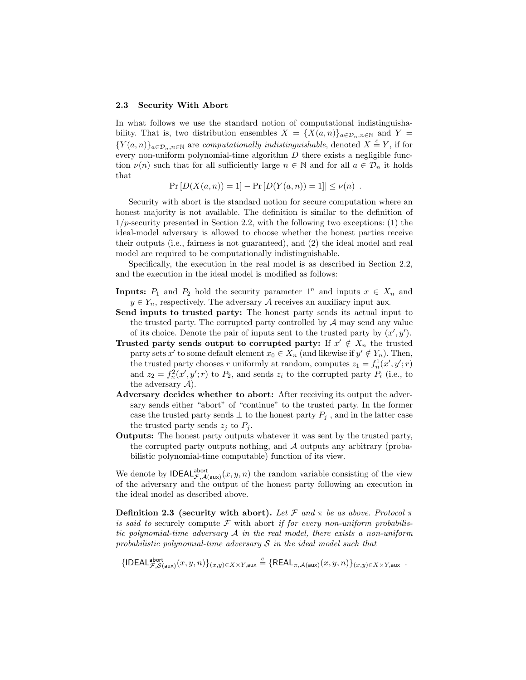#### 2.3 Security With Abort

In what follows we use the standard notion of computational indistinguishability. That is, two distribution ensembles  $X = \{X(a,n)\}_{a \in \mathcal{D}_n, n \in \mathbb{N}}$  and  $Y =$  ${Y(a,n)}_{a\in\mathcal{D}_n,n\in\mathbb{N}}$  are computationally indistinguishable, denoted  $X \stackrel{c}{=} Y$ , if for every non-uniform polynomial-time algorithm  $D$  there exists a negligible function  $\nu(n)$  such that for all sufficiently large  $n \in \mathbb{N}$  and for all  $a \in \mathcal{D}_n$  it holds that

$$
|\Pr[D(X(a, n)) = 1] - \Pr[D(Y(a, n)) = 1]| \leq \nu(n).
$$

Security with abort is the standard notion for secure computation where an honest majority is not available. The definition is similar to the definition of  $1/p$ -security presented in Section 2.2, with the following two exceptions: (1) the ideal-model adversary is allowed to choose whether the honest parties receive their outputs (i.e., fairness is not guaranteed), and (2) the ideal model and real model are required to be computationally indistinguishable.

Specifically, the execution in the real model is as described in Section 2.2, and the execution in the ideal model is modified as follows:

- **Inputs:**  $P_1$  and  $P_2$  hold the security parameter  $1^n$  and inputs  $x \in X_n$  and  $y \in Y_n$ , respectively. The adversary A receives an auxiliary input aux.
- Send inputs to trusted party: The honest party sends its actual input to the trusted party. The corrupted party controlled by  $A$  may send any value of its choice. Denote the pair of inputs sent to the trusted party by  $(x', y')$ .
- Trusted party sends output to corrupted party: If  $x' \notin X_n$  the trusted party sets x' to some default element  $x_0 \in X_n$  (and likewise if  $y' \notin Y_n$ ). Then, the trusted party chooses r uniformly at random, computes  $z_1 = f_n^1(x', y'; r)$ and  $z_2 = f_n^2(x', y'; r)$  to  $P_2$ , and sends  $z_i$  to the corrupted party  $P_i$  (i.e., to the adversary  $A$ ).
- Adversary decides whether to abort: After receiving its output the adversary sends either "abort" of "continue" to the trusted party. In the former case the trusted party sends  $\perp$  to the honest party  $P_j$ , and in the latter case the trusted party sends  $z_i$  to  $P_i$ .
- Outputs: The honest party outputs whatever it was sent by the trusted party, the corrupted party outputs nothing, and A outputs any arbitrary (probabilistic polynomial-time computable) function of its view.

We denote by **IDEAL**<sup>abort</sup></sup> $f(x, y, n)$  the random variable consisting of the view of the adversary and the output of the honest party following an execution in the ideal model as described above.

Definition 2.3 (security with abort). Let F and  $\pi$  be as above. Protocol  $\pi$ is said to securely compute  $\mathcal F$  with abort if for every non-uniform probabilistic polynomial-time adversary  $A$  in the real model, there exists a non-uniform probabilistic polynomial-time adversary  $S$  in the ideal model such that

$$
\{{\sf IDEAL}_{{\mathcal{F}},{\mathcal{S}}}^{\sf abort}\!\!(x,y,n)\}_{(x,y)\in X\times Y, \sf aux} \stackrel{c}{=} \{{\sf REAL}_{{\pi},{\mathcal{A}}(\sf aux)}(x,y,n)\}_{(x,y)\in X\times Y, \sf aux} \enspace .
$$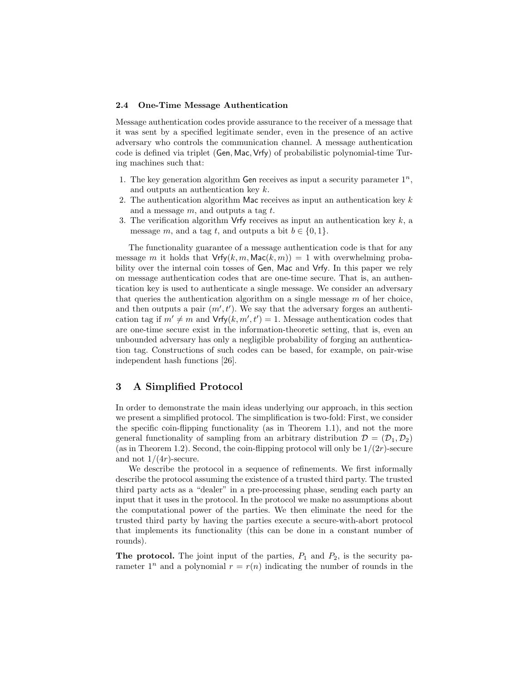#### 2.4 One-Time Message Authentication

Message authentication codes provide assurance to the receiver of a message that it was sent by a specified legitimate sender, even in the presence of an active adversary who controls the communication channel. A message authentication code is defined via triplet (Gen, Mac, Vrfy) of probabilistic polynomial-time Turing machines such that:

- 1. The key generation algorithm Gen receives as input a security parameter  $1^n$ , and outputs an authentication key k.
- 2. The authentication algorithm Mac receives as input an authentication key  $k$ and a message  $m$ , and outputs a tag  $t$ .
- 3. The verification algorithm Vrfy receives as input an authentication key  $k$ , a message m, and a tag t, and outputs a bit  $b \in \{0, 1\}.$

The functionality guarantee of a message authentication code is that for any message m it holds that  $Vrfy(k, m, Mac(k, m)) = 1$  with overwhelming probability over the internal coin tosses of Gen, Mac and Vrfy. In this paper we rely on message authentication codes that are one-time secure. That is, an authentication key is used to authenticate a single message. We consider an adversary that queries the authentication algorithm on a single message  $m$  of her choice, and then outputs a pair  $(m', t')$ . We say that the adversary forges an authentication tag if  $m' \neq m$  and  $Vrfy(k, m', t') = 1$ . Message authentication codes that are one-time secure exist in the information-theoretic setting, that is, even an unbounded adversary has only a negligible probability of forging an authentication tag. Constructions of such codes can be based, for example, on pair-wise independent hash functions [26].

## 3 A Simplified Protocol

In order to demonstrate the main ideas underlying our approach, in this section we present a simplified protocol. The simplification is two-fold: First, we consider the specific coin-flipping functionality (as in Theorem 1.1), and not the more general functionality of sampling from an arbitrary distribution  $\mathcal{D} = (\mathcal{D}_1, \mathcal{D}_2)$ (as in Theorem 1.2). Second, the coin-flipping protocol will only be  $1/(2r)$ -secure and not  $1/(4r)$ -secure.

We describe the protocol in a sequence of refinements. We first informally describe the protocol assuming the existence of a trusted third party. The trusted third party acts as a "dealer" in a pre-processing phase, sending each party an input that it uses in the protocol. In the protocol we make no assumptions about the computational power of the parties. We then eliminate the need for the trusted third party by having the parties execute a secure-with-abort protocol that implements its functionality (this can be done in a constant number of rounds).

The protocol. The joint input of the parties,  $P_1$  and  $P_2$ , is the security parameter  $1^n$  and a polynomial  $r = r(n)$  indicating the number of rounds in the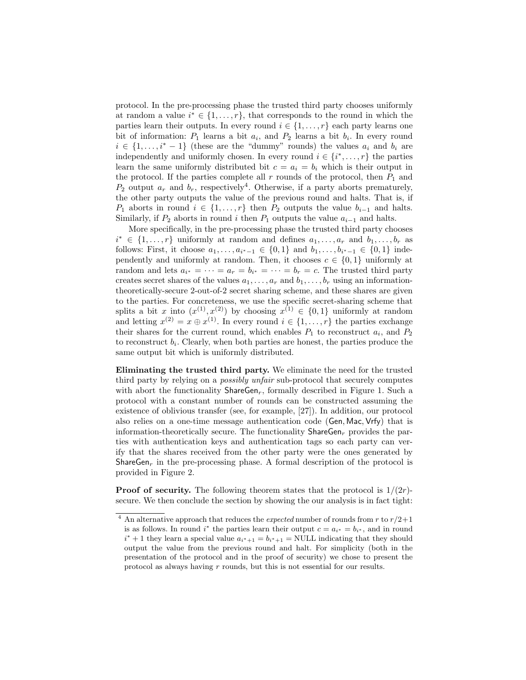protocol. In the pre-processing phase the trusted third party chooses uniformly at random a value  $i^* \in \{1, \ldots, r\}$ , that corresponds to the round in which the parties learn their outputs. In every round  $i \in \{1, \ldots, r\}$  each party learns one bit of information:  $P_1$  learns a bit  $a_i$ , and  $P_2$  learns a bit  $b_i$ . In every round  $i \in \{1, \ldots, i^* - 1\}$  (these are the "dummy" rounds) the values  $a_i$  and  $b_i$  are independently and uniformly chosen. In every round  $i \in \{i^*, \ldots, r\}$  the parties learn the same uniformly distributed bit  $c = a_i = b_i$  which is their output in the protocol. If the parties complete all r rounds of the protocol, then  $P_1$  and  $P_2$  output  $a_r$  and  $b_r$ , respectively<sup>4</sup>. Otherwise, if a party aborts prematurely, the other party outputs the value of the previous round and halts. That is, if  $P_1$  aborts in round  $i \in \{1, ..., r\}$  then  $P_2$  outputs the value  $b_{i-1}$  and halts. Similarly, if  $P_2$  aborts in round i then  $P_1$  outputs the value  $a_{i-1}$  and halts.

More specifically, in the pre-processing phase the trusted third party chooses  $i^* \in \{1, ..., r\}$  uniformly at random and defines  $a_1, ..., a_r$  and  $b_1, ..., b_r$  as follows: First, it choose  $a_1, \ldots, a_{i^*-1} \in \{0,1\}$  and  $b_1, \ldots, b_{i^*-1} \in \{0,1\}$  independently and uniformly at random. Then, it chooses  $c \in \{0,1\}$  uniformly at random and lets  $a_{i^*} = \cdots = a_r = b_{i^*} = \cdots = b_r = c$ . The trusted third party creates secret shares of the values  $a_1, \ldots, a_r$  and  $b_1, \ldots, b_r$  using an informationtheoretically-secure 2-out-of-2 secret sharing scheme, and these shares are given to the parties. For concreteness, we use the specific secret-sharing scheme that splits a bit x into  $(x^{(1)}, x^{(2)})$  by choosing  $x^{(1)} \in \{0, 1\}$  uniformly at random and letting  $x^{(2)} = x \oplus x^{(1)}$ . In every round  $i \in \{1, ..., r\}$  the parties exchange their shares for the current round, which enables  $P_1$  to reconstruct  $a_i$ , and  $P_2$ to reconstruct  $b_i$ . Clearly, when both parties are honest, the parties produce the same output bit which is uniformly distributed.

Eliminating the trusted third party. We eliminate the need for the trusted third party by relying on a possibly unfair sub-protocol that securely computes with abort the functionality  $\mathsf{ShareGen}_r$ , formally described in Figure 1. Such a protocol with a constant number of rounds can be constructed assuming the existence of oblivious transfer (see, for example, [27]). In addition, our protocol also relies on a one-time message authentication code (Gen, Mac, Vrfy) that is information-theoretically secure. The functionality  $\textsf{ShareGen}_r$  provides the parties with authentication keys and authentication tags so each party can verify that the shares received from the other party were the ones generated by  $\text{ShareGen}_r$  in the pre-processing phase. A formal description of the protocol is provided in Figure 2.

**Proof of security.** The following theorem states that the protocol is  $1/(2r)$ secure. We then conclude the section by showing the our analysis is in fact tight:

<sup>&</sup>lt;sup>4</sup> An alternative approach that reduces the *expected* number of rounds from r to  $r/2+1$ is as follows. In round  $i^*$  the parties learn their output  $c = a_{i^*} = b_{i^*}$ , and in round  $i^* + 1$  they learn a special value  $a_{i^*+1} = b_{i^*+1} = \text{NULL}$  indicating that they should output the value from the previous round and halt. For simplicity (both in the presentation of the protocol and in the proof of security) we chose to present the protocol as always having r rounds, but this is not essential for our results.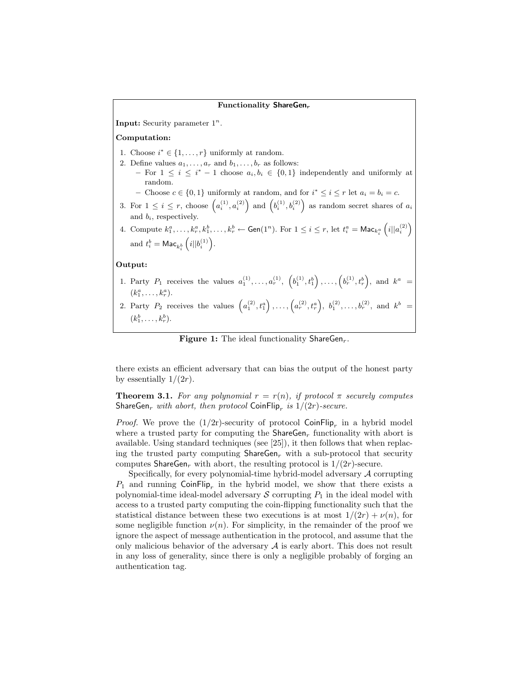### Functionality ShareGen<sub>r</sub>

**Input:** Security parameter  $1^n$ .

#### Computation:

- 1. Choose  $i^* \in \{1, \ldots, r\}$  uniformly at random.
- 2. Define values  $a_1, \ldots, a_r$  and  $b_1, \ldots, b_r$  as follows:
	- $-$  For 1 ≤ *i* ≤ *i*<sup>\*</sup> − 1 choose  $a_i, b_i \in \{0, 1\}$  independently and uniformly at random.
	- − Choose  $c \in \{0, 1\}$  uniformly at random, and for  $i^* \leq i \leq r$  let  $a_i = b_i = c$ .
- 3. For  $1 \leq i \leq r$ , choose  $\left(a_i^{(1)}, a_i^{(2)}\right)$  and  $\left(b_i^{(1)}, b_i^{(2)}\right)$  as random secret shares of  $a_i$ and  $b_i$ , respectively.
- 4. Compute  $k_1^a, \ldots, k_r^a, k_1^b, \ldots, k_r^b \leftarrow \mathsf{Gen}(1^n)$ . For  $1 \leq i \leq r$ , let  $t_i^a = \mathsf{Mac}_{k_i^a}\left(i||a_i^{(2)}\right)$ and  $t_i^b = \mathsf{Mac}_{k_i^b}\left(i||b_i^{(1)}\right)$ .

#### Output:

1. Party  $P_1$  receives the values  $a_1^{(1)}, \ldots, a_r^{(1)}, (b_1^{(1)}, b_1^{b}), \ldots, (b_r^{(1)}, b_r^{b}),$  and  $k^a =$  $(k_1^a, \ldots, k_r^a).$ 2. Party  $P_2$  receives the values  $(a_1^{(2)}, t_1^a), \ldots, (a_r^{(2)}, t_r^a), b_1^{(2)}, \ldots, b_r^{(2)},$  and  $k^b =$ 

 $(k_1^b, \ldots, k_r^b)$ .

Figure 1: The ideal functionality ShareGen<sub>r</sub>.

there exists an efficient adversary that can bias the output of the honest party by essentially  $1/(2r)$ .

**Theorem 3.1.** For any polynomial  $r = r(n)$ , if protocol  $\pi$  securely computes ShareGen<sub>r</sub> with abort, then protocol CoinFlip<sub>r</sub> is  $1/(2r)$ -secure.

*Proof.* We prove the  $(1/2r)$ -security of protocol CoinFlip<sub>r</sub> in a hybrid model where a trusted party for computing the  $ShareGen_r$  functionality with abort is available. Using standard techniques (see [25]), it then follows that when replacing the trusted party computing  $\text{ShareGen}_r$  with a sub-protocol that security computes ShareGen<sub>r</sub> with abort, the resulting protocol is  $1/(2r)$ -secure.

Specifically, for every polynomial-time hybrid-model adversary A corrupting  $P_1$  and running  $\text{CoinFlip}_r$  in the hybrid model, we show that there exists a polynomial-time ideal-model adversary  $S$  corrupting  $P_1$  in the ideal model with access to a trusted party computing the coin-flipping functionality such that the statistical distance between these two executions is at most  $1/(2r) + \nu(n)$ , for some negligible function  $\nu(n)$ . For simplicity, in the remainder of the proof we ignore the aspect of message authentication in the protocol, and assume that the only malicious behavior of the adversary  $A$  is early abort. This does not result in any loss of generality, since there is only a negligible probably of forging an authentication tag.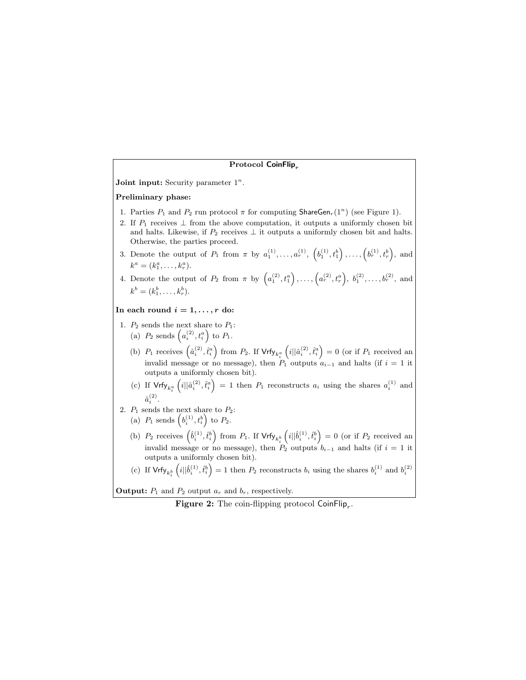#### Protocol CoinFlip,

**Joint input:** Security parameter  $1^n$ .

Preliminary phase:

- 1. Parties  $P_1$  and  $P_2$  run protocol  $\pi$  for computing ShareGen<sub>r</sub>(1<sup>n</sup>) (see Figure 1).
- 2. If  $P_1$  receives  $\perp$  from the above computation, it outputs a uniformly chosen bit and halts. Likewise, if  $P_2$  receives  $\perp$  it outputs a uniformly chosen bit and halts. Otherwise, the parties proceed.
- 3. Denote the output of  $P_1$  from  $\pi$  by  $a_1^{(1)}, \ldots, a_r^{(1)}$ ,  $\left(b_1^{(1)}, t_1^{b}\right), \ldots, \left(b_r^{(1)}, t_r^{b}\right)$ , and  $k^a = (k_1^a, \ldots, k_r^a).$
- 4. Denote the output of  $P_2$  from  $\pi$  by  $(a_1^{(2)}, t_1^a), \ldots, (a_r^{(2)}, t_r^a), b_1^{(2)}, \ldots, b_r^{(2)},$  and  $k^b = (k_1^b, \ldots, k_r^b).$

In each round  $i = 1, \ldots, r$  do:

- 1.  $P_2$  sends the next share to  $P_1$ : (a)  $P_2$  sends  $\left(a_i^{(2)}, t_i^a\right)$  to  $P_1$ .
	- (b)  $P_1$  receives  $\left(\hat{a}_i^{(2)}, \hat{t}_i^a\right)$  from  $P_2$ . If  $\mathsf{Vrfy}_{k_i^a}\left(i||\hat{a}_i^{(2)}, \hat{t}_i^a\right) = 0$  (or if  $P_1$  received an invalid message or no message), then  $P_1$  outputs  $a_{i-1}$  and halts (if  $i = 1$  it outputs a uniformly chosen bit).
	- (c) If  $\mathsf{Vrfy}_{k_i^a}\left(i||\hat{a}_i^{(2)},\hat{t}_i^a\right) = 1$  then  $P_1$  reconstructs  $a_i$  using the shares  $a_i^{(1)}$  and  $\hat{a}_i^{(2)}$ .
- 2.  $P_1$  sends the next share to  $P_2$ :
	- (a)  $P_1$  sends  $\left(b_i^{(1)}, t_i^b\right)$  to  $P_2$ .
	- (b)  $P_2$  receives  $\left(\hat{b}_i^{(1)}, \hat{t}_i^b\right)$  from  $P_1$ . If  $\mathsf{Vrfy}_{k_i^b}\left(i||\hat{b}_i^{(1)}, \hat{t}_i^b\right) = 0$  (or if  $P_2$  received an invalid message or no message), then  $P_2$  outputs  $b_{i-1}$  and halts (if  $i = 1$  it outputs a uniformly chosen bit).
	- (c) If  $Vrfy_{k_i^b}$   $(i||\hat{b}_i^{(1)}, \hat{t}_i^b) = 1$  then  $P_2$  reconstructs  $b_i$  using the shares  $b_i^{(1)}$  and  $b_i^{(2)}$

**Output:**  $P_1$  and  $P_2$  output  $a_r$  and  $b_r$ , respectively.

**Figure 2:** The coin-flipping protocol  $\textsf{CoinFlip}_r$ .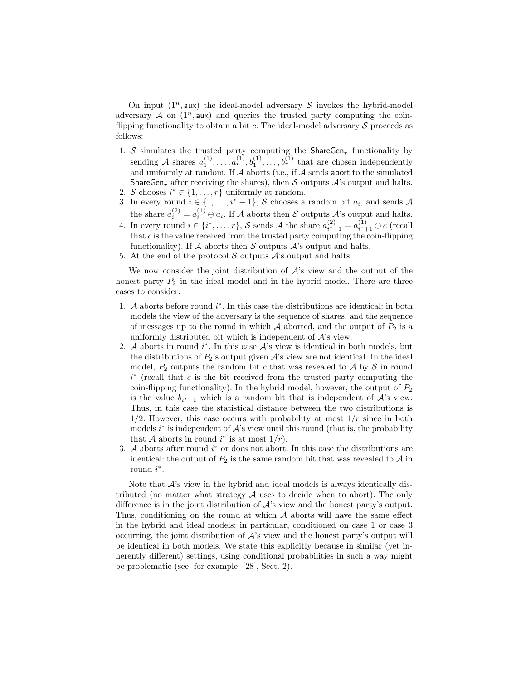On input  $(1^n, \text{aux})$  the ideal-model adversary S invokes the hybrid-model adversary A on  $(1^n, \text{aux})$  and queries the trusted party computing the coinflipping functionality to obtain a bit c. The ideal-model adversary  $\mathcal S$  proceeds as follows:

- 1. S simulates the trusted party computing the ShareGen<sub>r</sub> functionality by sending A shares  $a_1^{(1)}, \ldots, a_r^{(1)}, b_1^{(1)}, \ldots, b_r^{(1)}$  that are chosen independently and uniformly at random. If  $A$  aborts (i.e., if  $A$  sends abort to the simulated ShareGen<sub>r</sub> after receiving the shares), then S outputs  $\mathcal{A}$ 's output and halts.
- 2. S chooses  $i^* \in \{1, \ldots, r\}$  uniformly at random.
- 3. In every round  $i \in \{1, \ldots, i^* 1\}$ , S chooses a random bit  $a_i$ , and sends A the share  $a_i^{(2)} = a_i^{(1)} \oplus a_i$ . If A aborts then S outputs A's output and halts.
- 4. In every round  $i \in \{i^*, \ldots, r\}$ , S sends A the share  $a_{i^*+1}^{(2)} = a_{i^*+1}^{(1)} \oplus c$  (recall that  $c$  is the value received from the trusted party computing the coin-flipping functionality). If A aborts then S outputs  $A$ 's output and halts.
- 5. At the end of the protocol S outputs  $\mathcal{A}$ 's output and halts.

We now consider the joint distribution of  $A$ 's view and the output of the honest party  $P_2$  in the ideal model and in the hybrid model. There are three cases to consider:

- 1. A aborts before round  $i^*$ . In this case the distributions are identical: in both models the view of the adversary is the sequence of shares, and the sequence of messages up to the round in which A aborted, and the output of  $P_2$  is a uniformly distributed bit which is independent of  $A$ 's view.
- 2. A aborts in round  $i^*$ . In this case  $A$ 's view is identical in both models, but the distributions of  $P_2$ 's output given  $A$ 's view are not identical. In the ideal model,  $P_2$  outputs the random bit c that was revealed to A by S in round  $i^*$  (recall that c is the bit received from the trusted party computing the coin-flipping functionality). In the hybrid model, however, the output of  $P_2$ is the value  $b_{i^*-1}$  which is a random bit that is independent of  $\mathcal{A}$ 's view. Thus, in this case the statistical distance between the two distributions is  $1/2$ . However, this case occurs with probability at most  $1/r$  since in both models  $i^*$  is independent of  $A$ 's view until this round (that is, the probability that A aborts in round  $i^*$  is at most  $1/r$ ).
- 3. A aborts after round  $i^*$  or does not abort. In this case the distributions are identical: the output of  $P_2$  is the same random bit that was revealed to A in round  $i^*$ .

Note that  $\mathcal{A}$ 's view in the hybrid and ideal models is always identically distributed (no matter what strategy  $A$  uses to decide when to abort). The only difference is in the joint distribution of  $\mathcal{A}$ 's view and the honest party's output. Thus, conditioning on the round at which  $A$  aborts will have the same effect in the hybrid and ideal models; in particular, conditioned on case 1 or case 3 occurring, the joint distribution of  $A$ 's view and the honest party's output will be identical in both models. We state this explicitly because in similar (yet inherently different) settings, using conditional probabilities in such a way might be problematic (see, for example, [28], Sect. 2).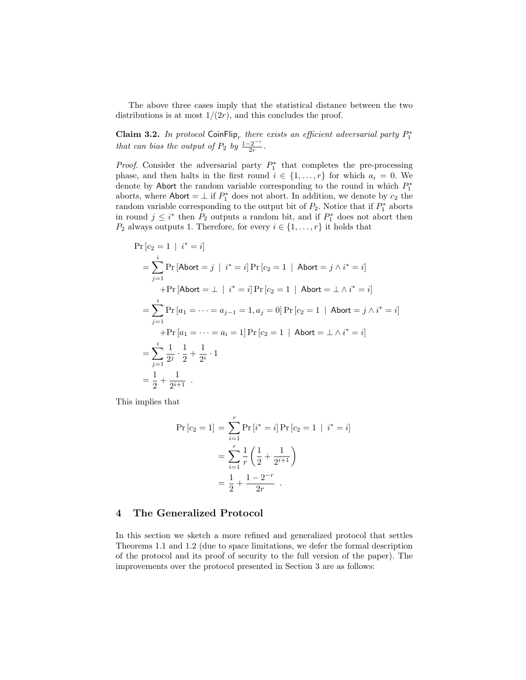The above three cases imply that the statistical distance between the two distributions is at most  $1/(2r)$ , and this concludes the proof.

Claim 3.2. In protocol CoinFlip<sub>r</sub> there exists an efficient adversarial party  $P_1^*$ that can bias the output of  $P_2$  by  $\frac{1-2^{-r}}{2r}$  $\frac{2}{2r}$ .

*Proof.* Consider the adversarial party  $P_1^*$  that completes the pre-processing phase, and then halts in the first round  $i \in \{1, \ldots, r\}$  for which  $a_i = 0$ . We denote by Abort the random variable corresponding to the round in which  $P_1^*$ aborts, where  $\mathsf{Abort} = \perp$  if  $P_1^*$  does not abort. In addition, we denote by  $c_2$  the random variable corresponding to the output bit of  $P_2$ . Notice that if  $P_1^*$  aborts in round  $j \leq i^*$  then  $P_2$  outputs a random bit, and if  $P_1^*$  does not abort then  $P_2$  always outputs 1. Therefore, for every  $i \in \{1, \ldots, r\}$  it holds that

$$
\Pr\left[c_{2} = 1 \mid i^{*} = i\right]
$$
\n
$$
= \sum_{j=1}^{i} \Pr\left[\text{Abort} = j \mid i^{*} = i\right] \Pr\left[c_{2} = 1 \mid \text{Abort} = j \land i^{*} = i\right]
$$
\n
$$
+ \Pr\left[\text{Abort} = \perp \mid i^{*} = i\right] \Pr\left[c_{2} = 1 \mid \text{Abort} = \perp \land i^{*} = i\right]
$$
\n
$$
= \sum_{j=1}^{i} \Pr\left[a_{1} = \dots = a_{j-1} = 1, a_{j} = 0\right] \Pr\left[c_{2} = 1 \mid \text{Abort} = j \land i^{*} = i\right]
$$
\n
$$
+ \Pr\left[a_{1} = \dots = a_{i} = 1\right] \Pr\left[c_{2} = 1 \mid \text{Abort} = \perp \land i^{*} = i\right]
$$
\n
$$
= \sum_{j=1}^{i} \frac{1}{2^{j}} \cdot \frac{1}{2} + \frac{1}{2^{i}} \cdot 1
$$
\n
$$
= \frac{1}{2} + \frac{1}{2^{i+1}} \quad \text{and}
$$

This implies that

$$
\Pr\left[c_{2} = 1\right] = \sum_{i=1}^{r} \Pr\left[i^{*} = i\right] \Pr\left[c_{2} = 1 \mid i^{*} = i\right]
$$
\n
$$
= \sum_{i=1}^{r} \frac{1}{r} \left(\frac{1}{2} + \frac{1}{2^{i+1}}\right)
$$
\n
$$
= \frac{1}{2} + \frac{1 - 2^{-r}}{2r} .
$$

## 4 The Generalized Protocol

In this section we sketch a more refined and generalized protocol that settles Theorems 1.1 and 1.2 (due to space limitations, we defer the formal description of the protocol and its proof of security to the full version of the paper). The improvements over the protocol presented in Section 3 are as follows: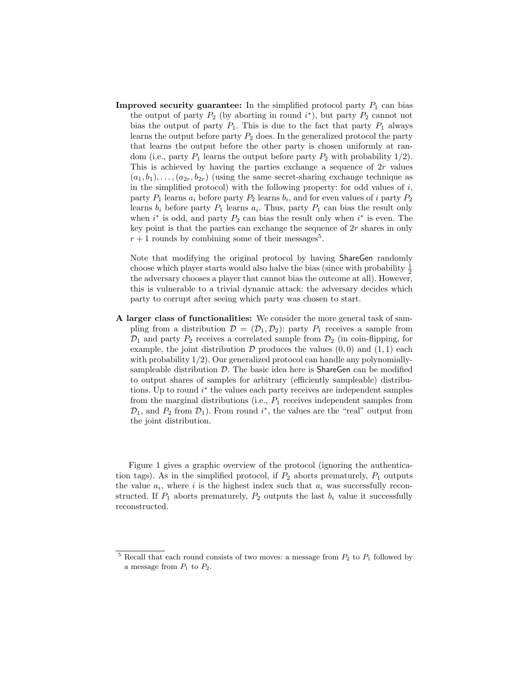**Improved security guarantee:** In the simplified protocol party  $P_1$  can bias the output of party  $P_2$  (by aborting in round  $i^*$ ), but party  $P_2$  cannot not bias the output of party  $P_1$ . This is due to the fact that party  $P_1$  always learns the output before party  $P_2$  does. In the generalized protocol the party that learns the output before the other party is chosen uniformly at random (i.e., party  $P_1$  learns the output before party  $P_2$  with probability  $1/2$ ). This is achieved by having the parties exchange a sequence of  $2r$  values  $(a_1, b_1), \ldots, (a_{2r}, b_{2r})$  (using the same secret-sharing exchange technique as in the simplified protocol) with the following property: for odd values of  $i$ , party  $P_1$  learns  $a_i$  before party  $P_2$  learns  $b_i$ , and for even values of i party  $P_2$ learns  $b_i$  before party  $P_1$  learns  $a_i$ . Thus, party  $P_1$  can bias the result only when  $i^*$  is odd, and party  $P_2$  can bias the result only when  $i^*$  is even. The key point is that the parties can exchange the sequence of  $2r$  shares in only  $r+1$  rounds by combining some of their messages<sup>5</sup>.

Note that modifying the original protocol by having ShareGen randomly choose which player starts would also halve the bias (since with probability  $\frac{1}{2}$ the adversary chooses a player that cannot bias the outcome at all). However, this is vulnerable to a trivial dynamic attack: the adversary decides which party to corrupt after seeing which party was chosen to start.

A larger class of functionalities: We consider the more general task of sampling from a distribution  $\mathcal{D} = (\mathcal{D}_1, \mathcal{D}_2)$ : party  $P_1$  receives a sample from  $\mathcal{D}_1$  and party  $P_2$  receives a correlated sample from  $\mathcal{D}_2$  (in coin-flipping, for example, the joint distribution  $D$  produces the values  $(0, 0)$  and  $(1, 1)$  each with probability  $1/2$ ). Our generalized protocol can handle any polynomiallysampleable distribution  $D$ . The basic idea here is **ShareGen** can be modified to output shares of samples for arbitrary (efficiently sampleable) distributions. Up to round  $i^*$  the values each party receives are independent samples from the marginal distributions (i.e.,  $P_1$  receives independent samples from  $\mathcal{D}_1$ , and  $P_2$  from  $\mathcal{D}_1$ ). From round  $i^*$ , the values are the "real" output from the joint distribution.

Figure 1 gives a graphic overview of the protocol (ignoring the authentication tags). As in the simplified protocol, if  $P_2$  aborts prematurely,  $P_1$  outputs the value  $a_i$ , where i is the highest index such that  $a_i$  was successfully reconstructed. If  $P_1$  aborts prematurely,  $P_2$  outputs the last  $b_i$  value it successfully reconstructed.

 $5$  Recall that each round consists of two moves: a message from  $P_2$  to  $P_1$  followed by a message from  $P_1$  to  $P_2$ .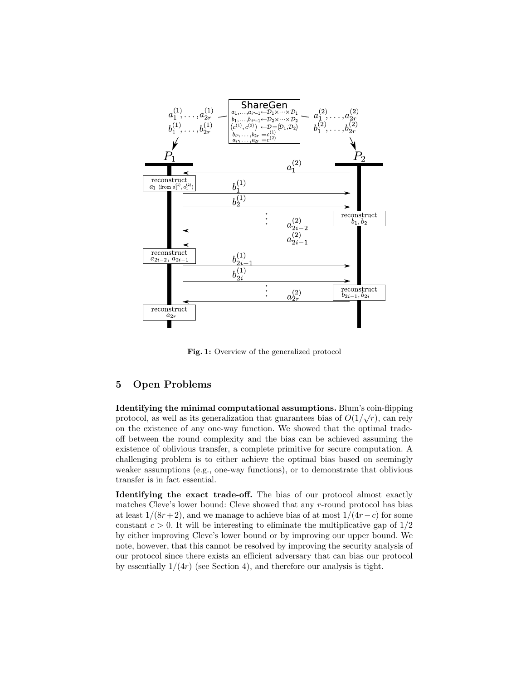

Fig. 1: Overview of the generalized protocol

# 5 Open Problems

Identifying the minimal computational assumptions. Blum's coin-flipping protocol, as well as its generalization that guarantees bias of  $O(1/\sqrt{r})$ , can rely on the existence of any one-way function. We showed that the optimal tradeoff between the round complexity and the bias can be achieved assuming the existence of oblivious transfer, a complete primitive for secure computation. A challenging problem is to either achieve the optimal bias based on seemingly weaker assumptions (e.g., one-way functions), or to demonstrate that oblivious transfer is in fact essential.

Identifying the exact trade-off. The bias of our protocol almost exactly matches Cleve's lower bound: Cleve showed that any r-round protocol has bias at least  $1/(8r+2)$ , and we manage to achieve bias of at most  $1/(4r-c)$  for some constant  $c > 0$ . It will be interesting to eliminate the multiplicative gap of  $1/2$ by either improving Cleve's lower bound or by improving our upper bound. We note, however, that this cannot be resolved by improving the security analysis of our protocol since there exists an efficient adversary that can bias our protocol by essentially  $1/(4r)$  (see Section 4), and therefore our analysis is tight.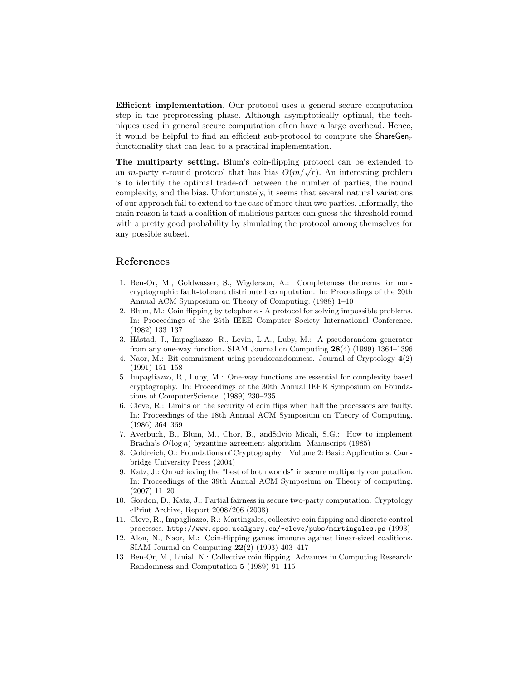Efficient implementation. Our protocol uses a general secure computation step in the preprocessing phase. Although asymptotically optimal, the techniques used in general secure computation often have a large overhead. Hence, it would be helpful to find an efficient sub-protocol to compute the  $h$ areGen<sub>r</sub> functionality that can lead to a practical implementation.

The multiparty setting. Blum's coin-flipping protocol can be extended to **The multiparty setting.** Biddle scoll-inpping protocol can be extended to an *m*-party *r*-round protocol that has bias  $O(m/\sqrt{r})$ . An interesting problem is to identify the optimal trade-off between the number of parties, the round complexity, and the bias. Unfortunately, it seems that several natural variations of our approach fail to extend to the case of more than two parties. Informally, the main reason is that a coalition of malicious parties can guess the threshold round with a pretty good probability by simulating the protocol among themselves for any possible subset.

### References

- 1. Ben-Or, M., Goldwasser, S., Wigderson, A.: Completeness theorems for noncryptographic fault-tolerant distributed computation. In: Proceedings of the 20th Annual ACM Symposium on Theory of Computing. (1988) 1–10
- 2. Blum, M.: Coin flipping by telephone A protocol for solving impossible problems. In: Proceedings of the 25th IEEE Computer Society International Conference. (1982) 133–137
- 3. Håstad, J., Impagliazzo, R., Levin, L.A., Luby, M.: A pseudorandom generator from any one-way function. SIAM Journal on Computing 28(4) (1999) 1364–1396
- 4. Naor, M.: Bit commitment using pseudorandomness. Journal of Cryptology 4(2) (1991) 151–158
- 5. Impagliazzo, R., Luby, M.: One-way functions are essential for complexity based cryptography. In: Proceedings of the 30th Annual IEEE Symposium on Foundations of ComputerScience. (1989) 230–235
- 6. Cleve, R.: Limits on the security of coin flips when half the processors are faulty. In: Proceedings of the 18th Annual ACM Symposium on Theory of Computing. (1986) 364–369
- 7. Averbuch, B., Blum, M., Chor, B., andSilvio Micali, S.G.: How to implement Bracha's  $O(\log n)$  byzantine agreement algorithm. Manuscript (1985)
- 8. Goldreich, O.: Foundations of Cryptography Volume 2: Basic Applications. Cambridge University Press (2004)
- 9. Katz, J.: On achieving the "best of both worlds" in secure multiparty computation. In: Proceedings of the 39th Annual ACM Symposium on Theory of computing. (2007) 11–20
- 10. Gordon, D., Katz, J.: Partial fairness in secure two-party computation. Cryptology ePrint Archive, Report 2008/206 (2008)
- 11. Cleve, R., Impagliazzo, R.: Martingales, collective coin flipping and discrete control processes. http://www.cpsc.ucalgary.ca/~cleve/pubs/martingales.ps (1993)
- 12. Alon, N., Naor, M.: Coin-flipping games immune against linear-sized coalitions. SIAM Journal on Computing 22(2) (1993) 403–417
- 13. Ben-Or, M., Linial, N.: Collective coin flipping. Advances in Computing Research: Randomness and Computation 5 (1989) 91–115